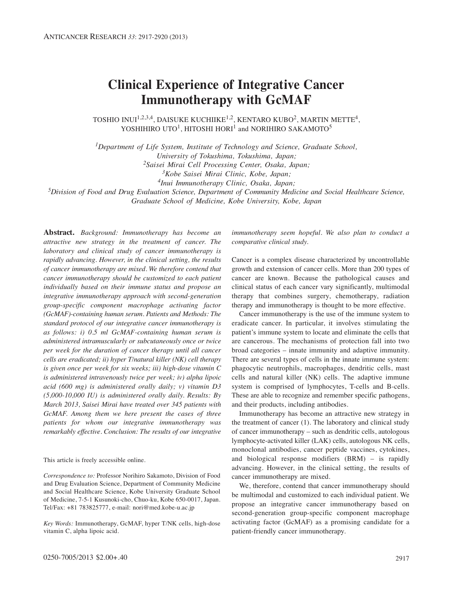# **Clinical Experience of Integrative Cancer Immunotherapy with GcMAF**

TOSHIO INUI<sup>1,2,3,4</sup>, DAISUKE KUCHIIKE<sup>1,2</sup>, KENTARO KUBO<sup>2</sup>, MARTIN METTE<sup>4</sup>, YOSHIHIRO UTO<sup>1</sup>, HITOSHI HORI<sup>1</sup> and NORIHIRO SAKAMOTO<sup>5</sup>

*1Department of Life System, Institute of Technology and Science, Graduate School,* 

*2Saisei Mirai Cell Processing Center, Osaka, Japan;*

*3Kobe Saisei Mirai Clinic, Kobe, Japan;*

*4Inui Immunotherapy Clinic, Osaka, Japan;*

*5Division of Food and Drug Evaluation Science, Department of Community Medicine and Social Healthcare Science,*

*Graduate School of Medicine, Kobe University, Kobe, Japan*

**Abstract.** *Background: Immunotherapy has become an attractive new strategy in the treatment of cancer. The laboratory and clinical study of cancer immunotherapy is rapidly advancing. However, in the clinical setting, the results of cancer immunotherapy are mixed. We therefore contend that cancer immunotherapy should be customized to each patient individually based on their immune status and propose an integrative immunotherapy approach with second-generation group-specific component macrophage activating factor (GcMAF)-containing human serum. Patients and Methods: The standard protocol of our integrative cancer immunotherapy is as follows: i) 0.5 ml GcMAF-containing human serum is administered intramuscularly or subcutaneously once or twice per week for the duration of cancer therapy until all cancer cells are eradicated; ii) hyper T/natural killer (NK) cell therapy is given once per week for six weeks; iii) high-dose vitamin C is administered intravenously twice per week; iv) alpha lipoic acid (600 mg) is administered orally daily; v) vitamin D3 (5,000-10,000 IU) is administered orally daily. Results: By March 2013, Saisei Mirai have treated over 345 patients with GcMAF. Among them we here present the cases of three patients for whom our integrative immunotherapy was remarkably effective. Conclusion: The results of our integrative*

This article is freely accessible online.

*Correspondence to:* Professor Norihiro Sakamoto, Division of Food and Drug Evaluation Science, Department of Community Medicine and Social Healthcare Science, Kobe University Graduate School of Medicine, 7-5-1 Kusunoki-cho, Chuo-ku, Kobe 650-0017, Japan. Tel/Fax: +81 783825777, e-mail: nori@med.kobe-u.ac.jp

*Key Words:* Immunotherapy, GcMAF, hyper T/NK cells, high-dose vitamin C, alpha lipoic acid.

*immunotherapy seem hopeful. We also plan to conduct a comparative clinical study.*

Cancer is a complex disease characterized by uncontrollable growth and extension of cancer cells. More than 200 types of cancer are known. Because the pathological causes and clinical status of each cancer vary significantly, multimodal therapy that combines surgery, chemotherapy, radiation therapy and immunotherapy is thought to be more effective.

Cancer immunotherapy is the use of the immune system to eradicate cancer. In particular, it involves stimulating the patient's immune system to locate and eliminate the cells that are cancerous. The mechanisms of protection fall into two broad categories – innate immunity and adaptive immunity. There are several types of cells in the innate immune system: phagocytic neutrophils, macrophages, dendritic cells, mast cells and natural killer (NK) cells. The adaptive immune system is comprised of lymphocytes, T-cells and B-cells. These are able to recognize and remember specific pathogens, and their products, including antibodies.

Immunotherapy has become an attractive new strategy in the treatment of cancer (1). The laboratory and clinical study of cancer immunotherapy – such as dendritic cells, autologous lymphocyte-activated killer (LAK) cells, autologous NK cells, monoclonal antibodies, cancer peptide vaccines, cytokines, and biological response modifiers (BRM) – is rapidly advancing. However, in the clinical setting, the results of cancer immunotherapy are mixed.

We, therefore, contend that cancer immunotherapy should be multimodal and customized to each individual patient. We propose an integrative cancer immunotherapy based on second-generation group-specific component macrophage activating factor (GcMAF) as a promising candidate for a patient-friendly cancer immunotherapy.

*University of Tokushima, Tokushima, Japan;*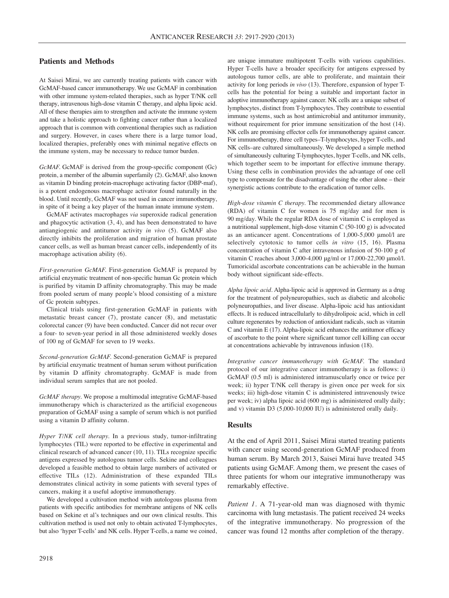## **Patients and Methods**

At Saisei Mirai, we are currently treating patients with cancer with GcMAF-based cancer immunotherapy. We use GcMAF in combination with other immune system-related therapies, such as hyper T/NK cell therapy, intravenous high-dose vitamin C therapy, and alpha lipoic acid. All of these therapies aim to strengthen and activate the immune system and take a holistic approach to fighting cancer rather than a localized approach that is common with conventional therapies such as radiation and surgery. However, in cases where there is a large tumor load, localized therapies, preferably ones with minimal negative effects on the immune system, may be necessary to reduce tumor burden.

*GcMAF.* GcMAF is derived from the group-specific component (Gc) protein, a member of the albumin superfamily (2). GcMAF, also known as vitamin D binding protein-macrophage activating factor (DBP-maf), is a potent endogenous macrophage activator found naturally in the blood. Until recently, GcMAF was not used in cancer immunotherapy, in spite of it being a key player of the human innate immune system.

GcMAF activates macrophages *via* superoxide radical generation and phagocytic activation (3, 4), and has been demonstrated to have antiangiogenic and antitumor activity *in vivo* (5). GcMAF also directly inhibits the proliferation and migration of human prostate cancer cells, as well as human breast cancer cells, independently of its macrophage activation ability (6).

*First-generation GcMAF.* First-generation GcMAF is prepared by artificial enzymatic treatment of non-specific human Gc protein which is purified by vitamin D affinity chromatography. This may be made from pooled serum of many people's blood consisting of a mixture of Gc protein subtypes.

Clinical trials using first-generation GcMAF in patients with metastatic breast cancer (7), prostate cancer (8), and metastatic colorectal cancer (9) have been conducted. Cancer did not recur over a four- to seven-year period in all those administered weekly doses of 100 ng of GcMAF for seven to 19 weeks.

*Second-generation GcMAF.* Second-generation GcMAF is prepared by artificial enzymatic treatment of human serum without purification by vitamin D affinity chromatography. GcMAF is made from individual serum samples that are not pooled.

*GcMAF therapy.* We propose a multimodal integrative GcMAF-based immunotherapy which is characterized as the artificial exogeneous preparation of GcMAF using a sample of serum which is not purified using a vitamin D affinity column.

*Hyper T/NK cell therapy.* In a previous study, tumor-infiltrating lymphocytes (TIL) were reported to be effective in experimental and clinical research of advanced cancer (10, 11). TILs recognize specific antigens expressed by autologous tumor cells. Sekine and colleagues developed a feasible method to obtain large numbers of activated or effective TILs (12). Administration of these expanded TILs demonstrates clinical activity in some patients with several types of cancers, making it a useful adoptive immunotherapy.

We developed a cultivation method with autologous plasma from patients with specific antibodies for membrane antigens of NK cells based on Sekine et al's techniques and our own clinical results. This cultivation method is used not only to obtain activated T-lymphocytes, but also 'hyper T-cells' and NK cells. Hyper T-cells, a name we coined,

are unique immature multipotent T-cells with various capabilities. Hyper T-cells have a broader specificity for antigens expressed by autologous tumor cells, are able to proliferate, and maintain their activity for long periods *in vivo* (13). Therefore, expansion of hyper Tcells has the potential for being a suitable and important factor in adoptive immunotherapy against cancer. NK cells are a unique subset of lymphocytes, distinct from T-lymphocytes. They contribute to essential immune systems, such as host antimicrobial and antitumor immunity, without requirement for prior immune sensitization of the host  $(14)$ . NK cells are promising effector cells for immunotherapy against cancer. For immunotherapy, three cell types–T-lymphocytes, hyper T-cells, and NK cells–are cultured simultaneously. We developed a simple method of simultaneously culturing T-lymphocytes, hyper T-cells, and NK cells, which together seem to be important for effective immune therapy. Using these cells in combination provides the advantage of one cell type to compensate for the disadvantage of using the other alone – their synergistic actions contribute to the eradication of tumor cells.

*High-dose vitamin C therapy.* The recommended dietary allowance (RDA) of vitamin C for women is 75 mg/day and for men is 90 mg/day. While the regular RDA dose of vitamin C is employed as a nutritional supplement, high-dose vitamin C (50-100 g) is advocated as an anticancer agent. Concentrations of 1,000-5,000 μmol/l are selectively cytotoxic to tumor cells *in vitro* (15, 16). Plasma concentration of vitamin C after intravenous infusion of 50-100 g of vitamin C reaches about 3,000-4,000 μg/ml or 17,000-22,700 μmol/l. Tumoricidal ascorbate concentrations can be achievable in the human body without significant side-effects.

*Alpha lipoic acid.* Alpha-lipoic acid is approved in Germany as a drug for the treatment of polyneuropathies, such as diabetic and alcoholic polyneuropathies, and liver disease. Alpha-lipoic acid has antioxidant effects. It is reduced intracellularly to dihydrolipoic acid, which in cell culture regenerates by reduction of antioxidant radicals, such as vitamin C and vitamin E (17). Alpha-lipoic acid enhances the antitumor efficacy of ascorbate to the point where significant tumor cell killing can occur at concentrations achievable by intravenous infusion (18).

*Integrative cancer immunotherapy with GcMAF.* The standard protocol of our integrative cancer immunotherapy is as follows: i) GcMAF (0.5 ml) is administered intramuscularly once or twice per week; ii) hyper T/NK cell therapy is given once per week for six weeks; iii) high-dose vitamin C is administered intravenously twice per week; iv) alpha lipoic acid (600 mg) is administered orally daily; and v) vitamin D3 (5,000-10,000 IU) is administered orally daily.

#### **Results**

At the end of April 2011, Saisei Mirai started treating patients with cancer using second-generation GcMAF produced from human serum. By March 2013, Saisei Mirai have treated 345 patients using GcMAF. Among them, we present the cases of three patients for whom our integrative immunotherapy was remarkably effective.

*Patient 1.* A 71-year-old man was diagnosed with thymic carcinoma with lung metastasis. The patient received 24 weeks of the integrative immunotherapy. No progression of the cancer was found 12 months after completion of the therapy.